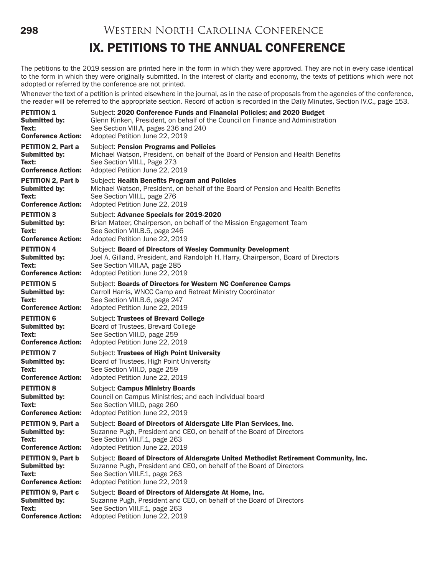298 Western North Carolina Conference

# IX. PETITIONS TO THE ANNUAL CONFERENCE

The petitions to the 2019 session are printed here in the form in which they were approved. They are not in every case identical to the form in which they were originally submitted. In the interest of clarity and economy, the texts of petitions which were not adopted or referred by the conference are not printed.

Whenever the text of a petition is printed elsewhere in the journal, as in the case of proposals from the agencies of the conference, the reader will be referred to the appropriate section. Record of action is recorded in the Daily Minutes, Section IV.C., page 153.

| <b>PETITION 1</b>         | Subject: 2020 Conference Funds and Financial Policies; and 2020 Budget                |
|---------------------------|---------------------------------------------------------------------------------------|
| Submitted by:             | Glenn Kinken, President, on behalf of the Council on Finance and Administration       |
| Text:                     | See Section VIII.A, pages 236 and 240                                                 |
| <b>Conference Action:</b> | Adopted Petition June 22, 2019                                                        |
| <b>PETITION 2, Part a</b> | <b>Subject: Pension Programs and Policies</b>                                         |
| <b>Submitted by:</b>      | Michael Watson, President, on behalf of the Board of Pension and Health Benefits      |
| Text:                     | See Section VIII.L, Page 273                                                          |
| <b>Conference Action:</b> | Adopted Petition June 22, 2019                                                        |
| <b>PETITION 2, Part b</b> | Subject: Health Benefits Program and Policies                                         |
| Submitted by:             | Michael Watson, President, on behalf of the Board of Pension and Health Benefits      |
| Text:                     | See Section VIII.L, page 276                                                          |
| <b>Conference Action:</b> | Adopted Petition June 22, 2019                                                        |
| <b>PETITION 3</b>         | Subject: Advance Specials for 2019-2020                                               |
| <b>Submitted by:</b>      | Brian Mateer, Chairperson, on behalf of the Mission Engagement Team                   |
| Text:                     | See Section VIII.B.5, page 246                                                        |
| <b>Conference Action:</b> | Adopted Petition June 22, 2019                                                        |
| <b>PETITION 4</b>         | Subject: Board of Directors of Wesley Community Development                           |
| <b>Submitted by:</b>      | Joel A. Gilland, President, and Randolph H. Harry, Chairperson, Board of Directors    |
| Text:                     | See Section VIII.AA, page 285                                                         |
| <b>Conference Action:</b> | Adopted Petition June 22, 2019                                                        |
| <b>PETITION 5</b>         | Subject: Boards of Directors for Western NC Conference Camps                          |
| Submitted by:             | Carroll Harris, WNCC Camp and Retreat Ministry Coordinator                            |
| Text:                     | See Section VIII.B.6, page 247                                                        |
| <b>Conference Action:</b> | Adopted Petition June 22, 2019                                                        |
| <b>PETITION 6</b>         | Subject: Trustees of Brevard College                                                  |
| Submitted by:             | Board of Trustees, Brevard College                                                    |
| Text:                     | See Section VIII.D, page 259                                                          |
| <b>Conference Action:</b> | Adopted Petition June 22, 2019                                                        |
| <b>PETITION 7</b>         | Subject: Trustees of High Point University                                            |
| Submitted by:             | Board of Trustees, High Point University                                              |
| Text:                     | See Section VIII.D, page 259                                                          |
| <b>Conference Action:</b> | Adopted Petition June 22, 2019                                                        |
| <b>PETITION 8</b>         | Subject: Campus Ministry Boards                                                       |
| <b>Submitted by:</b>      | Council on Campus Ministries; and each individual board                               |
| Text:                     | See Section VIII.D, page 260                                                          |
| <b>Conference Action:</b> | Adopted Petition June 22, 2019                                                        |
| PETITION 9, Part a        | Subject: Board of Directors of Aldersgate Life Plan Services, Inc.                    |
| <b>Submitted by:</b>      | Suzanne Pugh, President and CEO, on behalf of the Board of Directors                  |
| Text:                     | See Section VIII.F.1, page 263                                                        |
| <b>Conference Action:</b> | Adopted Petition June 22, 2019                                                        |
| <b>PETITION 9, Part b</b> | Subject: Board of Directors of Aldersgate United Methodist Retirement Community, Inc. |
| <b>Submitted by:</b>      | Suzanne Pugh, President and CEO, on behalf of the Board of Directors                  |
| Text:                     | See Section VIII.F.1, page 263                                                        |
| <b>Conference Action:</b> | Adopted Petition June 22, 2019                                                        |
| <b>PETITION 9, Part c</b> | Subject: Board of Directors of Aldersgate At Home, Inc.                               |
| Submitted by:             | Suzanne Pugh, President and CEO, on behalf of the Board of Directors                  |
| Text:                     | See Section VIII.F.1, page 263                                                        |
| <b>Conference Action:</b> | Adopted Petition June 22, 2019                                                        |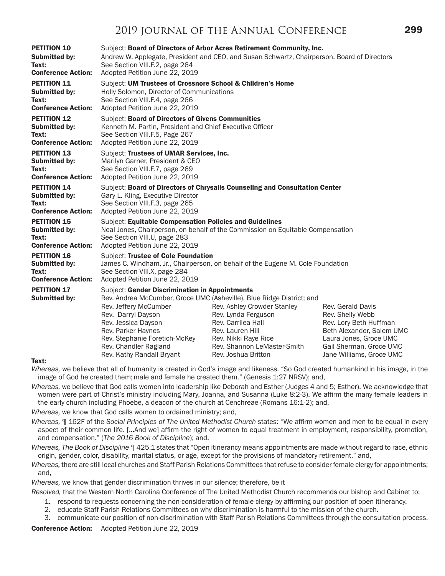| <b>PETITION 10</b>                         | Subject: Board of Directors of Arbor Acres Retirement Community, Inc.                                                                                                                                                                    |                                                                                                                                                                                                                                                                                                                                                                                                                                      |  |  |  |  |
|--------------------------------------------|------------------------------------------------------------------------------------------------------------------------------------------------------------------------------------------------------------------------------------------|--------------------------------------------------------------------------------------------------------------------------------------------------------------------------------------------------------------------------------------------------------------------------------------------------------------------------------------------------------------------------------------------------------------------------------------|--|--|--|--|
| <b>Submitted by:</b>                       | Andrew W. Applegate, President and CEO, and Susan Schwartz, Chairperson, Board of Directors                                                                                                                                              |                                                                                                                                                                                                                                                                                                                                                                                                                                      |  |  |  |  |
| Text:                                      | See Section VIII.F.2, page 264                                                                                                                                                                                                           |                                                                                                                                                                                                                                                                                                                                                                                                                                      |  |  |  |  |
| <b>Conference Action:</b>                  | Adopted Petition June 22, 2019                                                                                                                                                                                                           |                                                                                                                                                                                                                                                                                                                                                                                                                                      |  |  |  |  |
| <b>PETITION 11</b>                         | Subject: UM Trustees of Crossnore School & Children's Home                                                                                                                                                                               |                                                                                                                                                                                                                                                                                                                                                                                                                                      |  |  |  |  |
| <b>Submitted by:</b>                       | Holly Solomon, Director of Communications                                                                                                                                                                                                |                                                                                                                                                                                                                                                                                                                                                                                                                                      |  |  |  |  |
| Text:                                      | See Section VIII.F.4, page 266                                                                                                                                                                                                           |                                                                                                                                                                                                                                                                                                                                                                                                                                      |  |  |  |  |
| <b>Conference Action:</b>                  | Adopted Petition June 22, 2019                                                                                                                                                                                                           |                                                                                                                                                                                                                                                                                                                                                                                                                                      |  |  |  |  |
| <b>PETITION 12</b>                         | <b>Subject: Board of Directors of Givens Communities</b>                                                                                                                                                                                 |                                                                                                                                                                                                                                                                                                                                                                                                                                      |  |  |  |  |
| <b>Submitted by:</b>                       | Kenneth M. Partin, President and Chief Executive Officer                                                                                                                                                                                 |                                                                                                                                                                                                                                                                                                                                                                                                                                      |  |  |  |  |
| Text:                                      | See Section VIII.F.5, Page 267                                                                                                                                                                                                           |                                                                                                                                                                                                                                                                                                                                                                                                                                      |  |  |  |  |
| <b>Conference Action:</b>                  | Adopted Petition June 22, 2019                                                                                                                                                                                                           |                                                                                                                                                                                                                                                                                                                                                                                                                                      |  |  |  |  |
| <b>PETITION 13</b>                         | Subject: Trustees of UMAR Services, Inc.                                                                                                                                                                                                 |                                                                                                                                                                                                                                                                                                                                                                                                                                      |  |  |  |  |
| <b>Submitted by:</b>                       | Marilyn Garner, President & CEO                                                                                                                                                                                                          |                                                                                                                                                                                                                                                                                                                                                                                                                                      |  |  |  |  |
| Text:                                      | See Section VIII.F.7, page 269                                                                                                                                                                                                           |                                                                                                                                                                                                                                                                                                                                                                                                                                      |  |  |  |  |
| <b>Conference Action:</b>                  | Adopted Petition June 22, 2019                                                                                                                                                                                                           |                                                                                                                                                                                                                                                                                                                                                                                                                                      |  |  |  |  |
| <b>PETITION 14</b>                         | Subject: Board of Directors of Chrysalis Counseling and Consultation Center                                                                                                                                                              |                                                                                                                                                                                                                                                                                                                                                                                                                                      |  |  |  |  |
| <b>Submitted by:</b>                       | Gary L. Kling, Executive Director                                                                                                                                                                                                        |                                                                                                                                                                                                                                                                                                                                                                                                                                      |  |  |  |  |
| Text:                                      | See Section VIII.F.3, page 265                                                                                                                                                                                                           |                                                                                                                                                                                                                                                                                                                                                                                                                                      |  |  |  |  |
| <b>Conference Action:</b>                  | Adopted Petition June 22, 2019                                                                                                                                                                                                           |                                                                                                                                                                                                                                                                                                                                                                                                                                      |  |  |  |  |
| <b>PETITION 15</b>                         | Subject: Equitable Compensation Policies and Guidelines                                                                                                                                                                                  |                                                                                                                                                                                                                                                                                                                                                                                                                                      |  |  |  |  |
| <b>Submitted by:</b>                       | Neal Jones, Chairperson, on behalf of the Commission on Equitable Compensation                                                                                                                                                           |                                                                                                                                                                                                                                                                                                                                                                                                                                      |  |  |  |  |
| Text:                                      | See Section VIII.U, page 283                                                                                                                                                                                                             |                                                                                                                                                                                                                                                                                                                                                                                                                                      |  |  |  |  |
| <b>Conference Action:</b>                  | Adopted Petition June 22, 2019                                                                                                                                                                                                           |                                                                                                                                                                                                                                                                                                                                                                                                                                      |  |  |  |  |
| <b>PETITION 16</b>                         | Subject: Trustee of Cole Foundation                                                                                                                                                                                                      |                                                                                                                                                                                                                                                                                                                                                                                                                                      |  |  |  |  |
| <b>Submitted by:</b>                       | James C. Windham, Jr., Chairperson, on behalf of the Eugene M. Cole Foundation                                                                                                                                                           |                                                                                                                                                                                                                                                                                                                                                                                                                                      |  |  |  |  |
| Text:                                      | See Section VIII.X, page 284                                                                                                                                                                                                             |                                                                                                                                                                                                                                                                                                                                                                                                                                      |  |  |  |  |
| <b>Conference Action:</b>                  | Adopted Petition June 22, 2019                                                                                                                                                                                                           |                                                                                                                                                                                                                                                                                                                                                                                                                                      |  |  |  |  |
| <b>PETITION 17</b><br><b>Submitted by:</b> | <b>Subject: Gender Discrimination in Appointments</b><br>Rev. Jeffery McCumber<br>Rev. Darryl Dayson<br>Rev. Jessica Dayson<br>Rev. Parker Haynes<br>Rev. Stephanie Foretich-McKey<br>Rev. Chandler Ragland<br>Rev. Kathy Randall Bryant | Rev. Andrea McCumber, Groce UMC (Asheville), Blue Ridge District; and<br>Rev. Ashley Crowder Stanley<br>Rev. Gerald Davis<br>Rev. Lynda Ferguson<br>Rev. Shelly Webb<br>Rev. Carrilea Hall<br>Rev. Lory Beth Huffman<br>Rev. Lauren Hill<br>Beth Alexander, Salem UMC<br>Rev. Nikki Raye Rice<br>Laura Jones, Groce UMC<br>Rev. Shannon LeMaster-Smith<br>Gail Sherman, Groce UMC<br>Jane Williams, Groce UMC<br>Rev. Joshua Britton |  |  |  |  |

#### Text:

*Whereas,* we believe that all of humanity is created in God's image and likeness. "So God created humankind in his image, in the image of God he created them; male and female he created them." (Genesis 1:27 NRSV); and,

- *Whereas,* we believe that God calls women into leadership like Deborah and Esther (Judges 4 and 5; Esther). We acknowledge that women were part of Christ's ministry including Mary, Joanna, and Susanna (Luke 8:2-3). We affirm the many female leaders in the early church including Phoebe, a deacon of the church at Cenchreae (Romans 16:1-2); and,
- *Whereas,* we know that God calls women to ordained ministry; and,
- *Whereas,* ¶ 162F of the *Social Principles of The United Methodist Church* states: "We affirm women and men to be equal in every aspect of their common life. [...And we] affirm the right of women to equal treatment in employment, responsibility, promotion, and compensation." (*The 2016 Book of Discipline*); and,

*Whereas, The Book of Discipline* ¶ 425.1 states that "Open itinerancy means appointments are made without regard to race, ethnic origin, gender, color, disability, marital status, or age, except for the provisions of mandatory retirement." and,

*Whereas,* there are still local churches and Staff Parish Relations Committees that refuse to consider female clergy for appointments; and,

*Whereas,* we know that gender discrimination thrives in our silence; therefore, be it

*Resolved,* that the Western North Carolina Conference of The United Methodist Church recommends our bishop and Cabinet to:

- 1. respond to requests concerning the non-consideration of female clergy by affirming our position of open itinerancy.
- 2. educate Staff Parish Relations Committees on why discrimination is harmful to the mission of the church.
- 3. communicate our position of non-discrimination with Staff Parish Relations Committees through the consultation process.

Conference Action: Adopted Petition June 22, 2019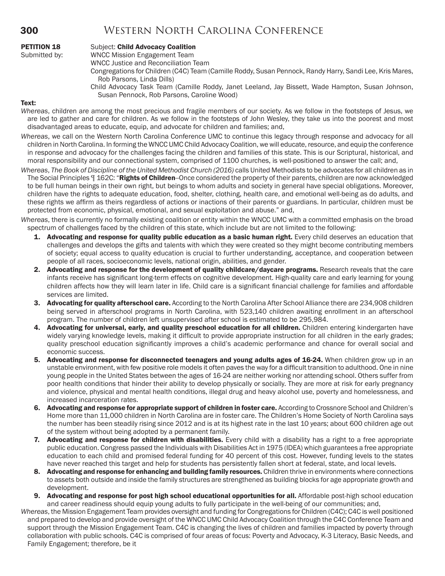## 300 Western North Carolina Conference

| <b>PETITION 18</b> |  |
|--------------------|--|
| Submitted by:      |  |

#### Subject: Child Advocacy Coalition

WNCC Mission Engagement Team

WNCC Justice and Reconciliation Team

Congregations for Children (C4C) Team (Camille Roddy, Susan Pennock, Randy Harry, Sandi Lee, Kris Mares, Rob Parsons, Linda Dills)

Child Advocacy Task Team (Camille Roddy, Janet Leeland, Jay Bissett, Wade Hampton, Susan Johnson, Susan Pennock, Rob Parsons, Caroline Wood)

#### Text:

- *Whereas*, children are among the most precious and fragile members of our society. As we follow in the footsteps of Jesus, we are led to gather and care for children. As we follow in the footsteps of John Wesley, they take us into the poorest and most disadvantaged areas to educate, equip, and advocate for children and families; and,
- *Whereas*, we call on the Western North Carolina Conference UMC to continue this legacy through response and advocacy for all children in North Carolina. In forming the WNCC UMC Child Advocacy Coalition, we will educate, resource, and equip the conference in response and advocacy for the challenges facing the children and families of this state. This is our Scriptural, historical, and moral responsibility and our connectional system, comprised of 1100 churches, is well-positioned to answer the call; and,
- *Whereas, The Book of Discipline of the United Methodist Church (2016) calls United Methodists to be advocates for all children as in* The Social Principles  $\P$  162C: "Rights of Children--Once considered the property of their parents, children are now acknowledged to be full human beings in their own right, but beings to whom adults and society in general have special obligations. Moreover, children have the rights to adequate education, food, shelter, clothing, health care, and emotional well-being as do adults, and these rights we affirm as theirs regardless of actions or inactions of their parents or guardians. In particular, children must be protected from economic, physical, emotional, and sexual exploitation and abuse." and,

*Whereas*, there is currently no formally existing coalition or entity within the WNCC UMC with a committed emphasis on the broad spectrum of challenges faced by the children of this state, which include but are not limited to the following:

- 1. Advocating and response for quality public education as a basic human right. Every child deserves an education that challenges and develops the gifts and talents with which they were created so they might become contributing members of society; equal access to quality education is crucial to further understanding, acceptance, and cooperation between people of all races, socioeconomic levels, national origin, abilities, and gender.
- 2. Advocating and response for the development of quality childcare/daycare programs. Research reveals that the care infants receive has significant long-term effects on cognitive development. High-quality care and early learning for young children affects how they will learn later in life. Child care is a significant financial challenge for families and affordable services are limited.
- 3. Advocating for quality afterschool care. According to the North Carolina After School Alliance there are 234,908 children being served in afterschool programs in North Carolina, with 523,140 children awaiting enrollment in an afterschool program. The number of children left unsupervised after school is estimated to be 295,984.
- 4. Advocating for universal, early, and quality preschool education for all children. Children entering kindergarten have widely varying knowledge levels, making it difficult to provide appropriate instruction for all children in the early grades; quality preschool education significantly improves a child's academic performance and chance for overall social and economic success.
- 5. Advocating and response for disconnected teenagers and young adults ages of 16-24. When children grow up in an unstable environment, with few positive role models it often paves the way for a difficult transition to adulthood. One in nine young people in the United States between the ages of 16-24 are neither working nor attending school. Others suffer from poor health conditions that hinder their ability to develop physically or socially. They are more at risk for early pregnancy and violence, physical and mental health conditions, illegal drug and heavy alcohol use, poverty and homelessness, and increased incarceration rates.
- 6. Advocating and response for appropriate support of children in foster care. According to Crossnore School and Children's Home more than 11,000 children in North Carolina are in foster care. The Children's Home Society of North Carolina says the number has been steadily rising since 2012 and is at its highest rate in the last 10 years; about 600 children age out of the system without being adopted by a permanent family.
- 7. Advocating and response for children with disabilities. Every child with a disability has a right to a free appropriate public education. Congress passed the Individuals with Disabilities Act in 1975 (IDEA) which guarantees a free appropriate education to each child and promised federal funding for 40 percent of this cost. However, funding levels to the states have never reached this target and help for students has persistently fallen short at federal, state, and local levels.
- 8. Advocating and response for enhancing and building family resources. Children thrive in environments where connections to assets both outside and inside the family structures are strengthened as building blocks for age appropriate growth and development.
- 9. Advocating and response for post high school educational opportunities for all. Affordable post-high school education and career readiness should equip young adults to fully participate in the well-being of our communities; and,

*Whereas*, the Mission Engagement Team provides oversight and funding for Congregations for Children (C4C); C4C is well positioned and prepared to develop and provide oversight of the WNCC UMC Child Advocacy Coalition through the C4C Conference Team and support through the Mission Engagement Team. C4C is changing the lives of children and families impacted by poverty through collaboration with public schools. C4C is comprised of four areas of focus: Poverty and Advocacy, K-3 Literacy, Basic Needs, and Family Engagement; therefore, be it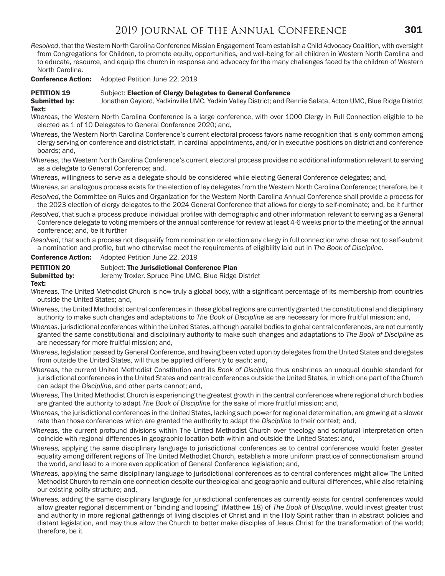*Resolved*, that the Western North Carolina Conference Mission Engagement Team establish a Child Advocacy Coalition, with oversight from Congregations for Children, to promote equity, opportunities, and well-being for all children in Western North Carolina and to educate, resource, and equip the church in response and advocacy for the many challenges faced by the children of Western North Carolina.

Conference Action: Adopted Petition June 22, 2019

#### **PETITION 19** Subject: Election of Clergy Delegates to General Conference

Submitted by: Jonathan Gaylord, Yadkinville UMC, Yadkin Valley District; and Rennie Salata, Acton UMC, Blue Ridge District Text:

*Whereas*, the Western North Carolina Conference is a large conference, with over 1000 Clergy in Full Connection eligible to be elected as 1 of 10 Delegates to General Conference 2020; and,

*Whereas*, the Western North Carolina Conference's current electoral process favors name recognition that is only common among clergy serving on conference and district staff, in cardinal appointments, and/or in executive positions on district and conference boards; and,

*Whereas*, the Western North Carolina Conference's current electoral process provides no additional information relevant to serving as a delegate to General Conference; and,

*Whereas*, willingness to serve as a delegate should be considered while electing General Conference delegates; and,

*Whereas*, an analogous process exists for the election of lay delegates from the Western North Carolina Conference; therefore, be it

*Resolved*, the Committee on Rules and Organization for the Western North Carolina Annual Conference shall provide a process for the 2023 election of clergy delegates to the 2024 General Conference that allows for clergy to self-nominate; and, be it further

*Resolved*, that such a process produce individual profiles with demographic and other information relevant to serving as a General Conference delegate to voting members of the annual conference for review at least 4-6 weeks prior to the meeting of the annual conference; and, be it further

*Resolved*, that such a process not disqualify from nomination or election any clergy in full connection who chose not to self-submit a nomination and profile, but who otherwise meet the requirements of eligibility laid out in *The Book of Discipline*.

Conference Action: Adopted Petition June 22, 2019

#### **PETITION 20** Subject: The Jurisdictional Conference Plan

**Submitted by:** Jeremy Troxler, Spruce Pine UMC, Blue Ridge District

#### Text:

- *Whereas,* The United Methodist Church is now truly a global body, with a significant percentage of its membership from countries outside the United States; and,
- *Whereas,* the United Methodist central conferences in these global regions are currently granted the constitutional and disciplinary authority to make such changes and adaptations to *The Book of Discipline* as are necessary for more fruitful mission; and,
- *Whereas,* jurisdictional conferences within the United States, although parallel bodies to global central conferences, are not currently granted the same constitutional and disciplinary authority to make such changes and adaptations to *The Book of Discipline* as are necessary for more fruitful mission; and,
- *Whereas,* legislation passed by General Conference, and having been voted upon by delegates from the United States and delegates from outside the United States, will thus be applied differently to each; and,
- *Whereas,* the current United Methodist Constitution and its *Book of Discipline* thus enshrines an unequal double standard for jurisdictional conferences in the United States and central conferences outside the United States, in which one part of the Church can adapt the *Discipline*, and other parts cannot; and,
- *Whereas,* The United Methodist Church is experiencing the greatest growth in the central conferences where regional church bodies are granted the authority to adapt *The Book of Discipline* for the sake of more fruitful mission; and,
- *Whereas,* the jurisdictional conferences in the United States, lacking such power for regional determination, are growing at a slower rate than those conferences which are granted the authority to adapt the *Discipline* to their context; and,
- *Whereas,* the current profound divisions within The United Methodist Church over theology and scriptural interpretation often coincide with regional differences in geographic location both within and outside the United States; and,
- *Whereas,* applying the same disciplinary language to jurisdictional conferences as to central conferences would foster greater equality among different regions of The United Methodist Church, establish a more uniform practice of connectionalism around the world, and lead to a more even application of General Conference legislation; and,
- *Whereas,* applying the same disciplinary language to jurisdictional conferences as to central conferences might allow The United Methodist Church to remain one connection despite our theological and geographic and cultural differences, while also retaining our existing polity structure; and,
- *Whereas,* adding the same disciplinary language for jurisdictional conferences as currently exists for central conferences would allow greater regional discernment or "binding and loosing" (Matthew 18) of *The Book of Discipline*, would invest greater trust and authority in more regional gatherings of living disciples of Christ and in the Holy Spirit rather than in abstract policies and distant legislation, and may thus allow the Church to better make disciples of Jesus Christ for the transformation of the world; therefore, be it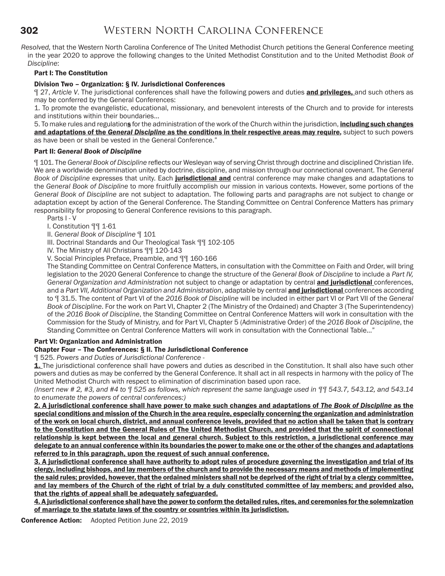*Resolved,* that the Western North Carolina Conference of The United Methodist Church petitions the General Conference meeting in the year 2020 to approve the following changes to the United Methodist Constitution and to the United Methodist *Book of Discipline*:

#### Part I: The Constitution

#### Division Two – Organization: § IV. Jurisdictional Conferences

¶ 27, *Article V*. The jurisdictional conferences shall have the following powers and duties and privileges, and such others as may be conferred by the General Conferences:

1. To promote the evangelistic, educational, missionary, and benevolent interests of the Church and to provide for interests and institutions within their boundaries…

5. To make rules and regulations for the administration of the work of the Church within the jurisdiction, *including such changes* and adaptations of the *General Discipline* as the conditions in their respective areas may require, subject to such powers as have been or shall be vested in the General Conference."

#### Part II: *General Book of Discipline*

¶ 101. The *General Book of Discipline* reflects our Wesleyan way of serving Christ through doctrine and disciplined Christian life. We are a worldwide denomination united by doctrine, discipline, and mission through our connectional covenant. The *General Book of Discipline* expresses that unity. Each jurisdictional and central conference may make changes and adaptations to the *General Book of Discipline* to more fruitfully accomplish our mission in various contexts. However, some portions of the *General Book of Discipline* are not subject to adaptation. The following parts and paragraphs are not subject to change or adaptation except by action of the General Conference. The Standing Committee on Central Conference Matters has primary responsibility for proposing to General Conference revisions to this paragraph.

Parts I - V

I. Constitution ¶¶ 1-61

II. *General Book of Discipline* ¶ 101

III. Doctrinal Standards and Our Theological Task ¶¶ 102-105

IV. The Ministry of All Christians ¶¶ 120-143

V. Social Principles Preface, Preamble, and ¶¶ 160-166

The Standing Committee on Central Conference Matters, in consultation with the Committee on Faith and Order, will bring legislation to the 2020 General Conference to change the structure of the *General Book of Discipline* to include a *Part IV, General Organization and Administration* not subject to change or adaptation by central and jurisdictional conferences, and a *Part VII, Additional Organization and Administration*, adaptable by central and jurisdictional conferences according to ¶ 31.5. The content of Part VI of the *2016 Book of Discipline* will be included in either part VI or Part VII of the *General Book of Discipline*. For the work on Part VI, Chapter 2 (The Ministry of the Ordained) and Chapter 3 (The Superintendency) of the *2016 Book of Discipline*, the Standing Committee on Central Conference Matters will work in consultation with the Commission for the Study of Ministry, and for Part VI, Chapter 5 (Administrative Order) of the *2016 Book of Discipline*, the Standing Committee on Central Conference Matters will work in consultation with the Connectional Table…"

#### Part VI: Organization and Administration

### Chapter Four – The Conferences: § II. The Jurisdictional Conference

¶ 525. *Powers and Duties of Jurisdictional Conference* -

1. The jurisdictional conference shall have powers and duties as described in the Constitution. It shall also have such other powers and duties as may be conferred by the General Conference. It shall act in all respects in harmony with the policy of The United Methodist Church with respect to elimination of discrimination based upon race.

*(Insert new # 2, #3, and #4 to ¶ 525 as follows, which represent the same language used in ¶¶ 543.7, 543.12, and 543.14 to enumerate the powers of central conferences:)*

2. A jurisdictional conference shall have power to make such changes and adaptations of *The Book of Discipline* as the special conditions and mission of the Church in the area require, especially concerning the organization and administration of the work on local church, district, and annual conference levels, provided that no action shall be taken that is contrary to the Constitution and the General Rules of The United Methodist Church, and provided that the spirit of connectional relationship is kept between the local and general church. Subject to this restriction, a jurisdictional conference may delegate to an annual conference within its boundaries the power to make one or the other of the changes and adaptations referred to in this paragraph, upon the request of such annual conference.

3. A jurisdictional conference shall have authority to adopt rules of procedure governing the investigation and trial of its clergy, including bishops, and lay members of the church and to provide the necessary means and methods of implementing the said rules; provided, however, that the ordained ministers shall not be deprived of the right of trial by a clergy committee, and lay members of the Church of the right of trial by a duly constituted committee of lay members; and provided also, that the rights of appeal shall be adequately safeguarded.

4. A jurisdictional conference shall have the power to conform the detailed rules, rites, and ceremonies for the solemnization of marriage to the statute laws of the country or countries within its jurisdiction.

Conference Action: Adopted Petition June 22, 2019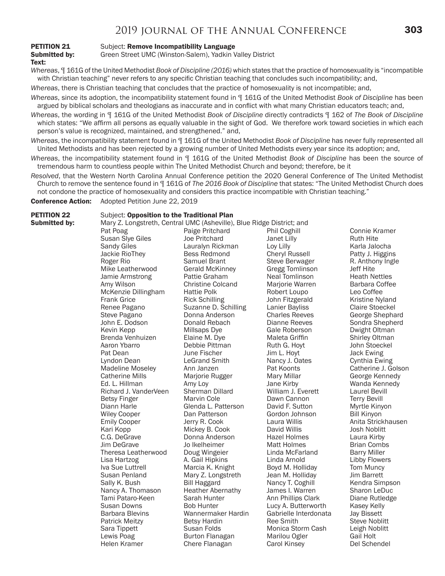## 2019 JOURNAL OF THE ANNUAL CONFERENCE **303**

Text:

# **PETITION 21** Subject: **Remove Incompatibility Language**<br> **Submitted by:** Green Street UMC (Winston-Salem), Yadkin \

Green Street UMC (Winston-Salem), Yadkin Valley District

*Whereas*, ¶ 161G of the United Methodist *Book of Discipline (2016)* which states that the practice of homosexuality is "incompatible with Christian teaching" never refers to any specific Christian teaching that concludes such incompatibility; and,

- *Whereas*, there is Christian teaching that concludes that the practice of homosexuality is not incompatible; and,
- *Whereas*, since its adoption, the incompatibility statement found in ¶ 161G of the United Methodist *Book of Discipline* has been argued by biblical scholars and theologians as inaccurate and in conflict with what many Christian educators teach; and,
- *Whereas*, the wording in ¶ 161G of the United Methodist *Book of Discipline* directly contradicts ¶ 162 of *The Book of Discipline*  which states: "We affirm all persons as equally valuable in the sight of God. We therefore work toward societies in which each person's value is recognized, maintained, and strengthened." and,
- *Whereas*, the incompatibility statement found in ¶ 161G of the United Methodist *Book of Discipline* has never fully represented all United Methodists and has been rejected by a growing number of United Methodists every year since its adoption; and,
- *Whereas*, the incompatibility statement found in ¶ 161G of the United Methodist *Book of Discipline* has been the source of tremendous harm to countless people within The United Methodist Church and beyond; therefore, be it
- *Resolved*, that the Western North Carolina Annual Conference petition the 2020 General Conference of The United Methodist Church to remove the sentence found in ¶ 161G of *The 2016 Book of Discipline* that states: "The United Methodist Church does not condone the practice of homosexuality and considers this practice incompatible with Christian teaching."

Conference Action: Adopted Petition June 22, 2019

#### **PETITION 22** Subject: Opposition to the Traditional Plan

**Submitted by:** Mary Z. Longstreth, Central UMC (Asheville), Blue Ridge District; and

| nssow wy |                         | $\alpha$ , $\alpha$ , $\beta$ , $\alpha$ , $\alpha$ , $\beta$ , $\alpha$ , $\alpha$ , $\alpha$ , $\alpha$ , $\alpha$ , $\alpha$ , $\beta$ , $\alpha$ , $\alpha$ , $\alpha$ , $\alpha$ , $\alpha$ , $\alpha$ , $\alpha$ , $\alpha$ , $\alpha$ , $\alpha$ , $\alpha$ , $\alpha$ , $\alpha$ , $\alpha$ , $\alpha$ , $\alpha$ , $\alpha$ , $\alpha$ , $\alpha$ , $\alpha$ , $\alpha$ , $\alpha$ , $\alpha$ , $\alpha$ , |                        |                        |
|----------|-------------------------|---------------------------------------------------------------------------------------------------------------------------------------------------------------------------------------------------------------------------------------------------------------------------------------------------------------------------------------------------------------------------------------------------------------------|------------------------|------------------------|
|          | Pat Poag                | Paige Pritchard                                                                                                                                                                                                                                                                                                                                                                                                     | Phil Coghill           | Connie Kramer          |
|          | Susan Slye Giles        | <b>Joe Pritchard</b>                                                                                                                                                                                                                                                                                                                                                                                                | Janet Lilly            | <b>Ruth Hite</b>       |
|          | Sandy Giles             | Lauralyn Rickman                                                                                                                                                                                                                                                                                                                                                                                                    | Loy Lilly              | Karla Jalocha          |
|          | Jackie RioThey          | <b>Bess Redmond</b>                                                                                                                                                                                                                                                                                                                                                                                                 | <b>Cheryl Russell</b>  | Patty J. Higgins       |
|          | Roger Rio               | Samuel Brant                                                                                                                                                                                                                                                                                                                                                                                                        | Steve Berwager         | R. Anthony Ingle       |
|          | Mike Leatherwood        | <b>Gerald McKinney</b>                                                                                                                                                                                                                                                                                                                                                                                              | <b>Gregg Tomlinson</b> | <b>Jeff Hite</b>       |
|          | Jamie Armstrong         | Pattie Graham                                                                                                                                                                                                                                                                                                                                                                                                       | Neal Tomlinson         | <b>Heath Nettles</b>   |
|          | Amy Wilson              | <b>Christine Colcand</b>                                                                                                                                                                                                                                                                                                                                                                                            | Marjorie Warren        | Barbara Coffee         |
|          | McKenzie Dillingham     | <b>Hattie Polk</b>                                                                                                                                                                                                                                                                                                                                                                                                  | Robert Loupo           | Leo Coffee             |
|          | <b>Frank Grice</b>      | <b>Rick Schilling</b>                                                                                                                                                                                                                                                                                                                                                                                               | John Fitzgerald        | Kristine Nyland        |
|          | Renee Pagano            | Suzanne D. Schilling                                                                                                                                                                                                                                                                                                                                                                                                | Lanier Bayliss         | <b>Claire Stoeckel</b> |
|          | Steve Pagano            | Donna Anderson                                                                                                                                                                                                                                                                                                                                                                                                      | <b>Charles Reeves</b>  | George Shephard        |
|          | John E. Dodson          | Donald Rebach                                                                                                                                                                                                                                                                                                                                                                                                       | Dianne Reeves          | Sondra Shepherd        |
|          | Kevin Kepp              | Millsaps Dye                                                                                                                                                                                                                                                                                                                                                                                                        | Gale Roberson          | Dwight Oltman          |
|          | Brenda Venhuizen        | Elaine M. Dye                                                                                                                                                                                                                                                                                                                                                                                                       | Maleta Griffin         | Shirley Oltman         |
|          | Aaron Ybarro            | Debbie Pittman                                                                                                                                                                                                                                                                                                                                                                                                      | Ruth G. Hoyt           | John Stoeckel          |
|          | Pat Dean                | June Fischer                                                                                                                                                                                                                                                                                                                                                                                                        | Jim L. Hoyt            | Jack Ewing             |
|          | Lyndon Dean             | <b>LeGrand Smith</b>                                                                                                                                                                                                                                                                                                                                                                                                | Nancy J. Oates         | Cynthia Ewing          |
|          | <b>Madeline Moseley</b> | Ann Janzen                                                                                                                                                                                                                                                                                                                                                                                                          | Pat Koonts             | Catherine J. Golson    |
|          | <b>Catherine Mills</b>  | Marjorie Rugger                                                                                                                                                                                                                                                                                                                                                                                                     | Mary Millar            | George Kennedy         |
|          | Ed. L. Hillman          | Amy Loy                                                                                                                                                                                                                                                                                                                                                                                                             | Jane Kirby             | Wanda Kennedy          |
|          | Richard J. VanderVeen   | Sherman Dillard                                                                                                                                                                                                                                                                                                                                                                                                     | William J. Everett     | <b>Laurel Bevill</b>   |
|          | <b>Betsy Finger</b>     | Marvin Cole                                                                                                                                                                                                                                                                                                                                                                                                         | Dawn Cannon            | <b>Terry Bevill</b>    |
|          | Diann Harle             | Glenda L. Patterson                                                                                                                                                                                                                                                                                                                                                                                                 | David F. Sutton        | Myrtle Kinyon          |
|          | <b>Wiley Cooper</b>     | Dan Patterson                                                                                                                                                                                                                                                                                                                                                                                                       | Gordon Johnson         | <b>Bill Kinyon</b>     |
|          | <b>Emily Cooper</b>     | Jerry R. Cook                                                                                                                                                                                                                                                                                                                                                                                                       | Laura Willis           | Anita Strickhausen     |
|          | Kari Kopp               | Mickey B. Cook                                                                                                                                                                                                                                                                                                                                                                                                      | David Willis           | <b>Josh Noblitt</b>    |
|          | C.G. DeGrave            | Donna Anderson                                                                                                                                                                                                                                                                                                                                                                                                      | <b>Hazel Holmes</b>    | Laura Kirby            |
|          | Jim DeGrave             | Jo Ikelheimer                                                                                                                                                                                                                                                                                                                                                                                                       | <b>Matt Holmes</b>     | <b>Brian Combs</b>     |
|          | Theresa Leatherwood     | Doug Wingeier                                                                                                                                                                                                                                                                                                                                                                                                       | Linda McFarland        | <b>Barry Miller</b>    |
|          | Lisa Hartzog            | A. Gail Hipkins                                                                                                                                                                                                                                                                                                                                                                                                     | Linda Arnold           | Libby Flowers          |
|          | Iva Sue Luttrell        | Marcia K. Knight                                                                                                                                                                                                                                                                                                                                                                                                    | Boyd M. Holliday       | Tom Muncy              |
|          | Susan Penland           | Mary Z. Longstreth                                                                                                                                                                                                                                                                                                                                                                                                  | Jean M. Holliday       | <b>Jim Barrett</b>     |
|          | Sally K. Bush           | <b>Bill Haggard</b>                                                                                                                                                                                                                                                                                                                                                                                                 | Nancy T. Coghill       | Kendra Simpson         |
|          | Nancy A. Thomason       | <b>Heather Abernathy</b>                                                                                                                                                                                                                                                                                                                                                                                            | James I. Warren        | Sharon LeDuc           |
|          | Tami Pataro-Keen        | Sarah Hunter                                                                                                                                                                                                                                                                                                                                                                                                        | Ann Phillips Clark     | Diane Rutledge         |
|          | <b>Susan Downs</b>      | <b>Bob Hunter</b>                                                                                                                                                                                                                                                                                                                                                                                                   | Lucy A. Butterworth    | Kasey Kelly            |
|          | <b>Barbara Blevins</b>  | Wannermaker Hardin                                                                                                                                                                                                                                                                                                                                                                                                  | Gabrielle Interdonata  | <b>Jay Bissett</b>     |
|          | <b>Patrick Meitzy</b>   | <b>Betsy Hardin</b>                                                                                                                                                                                                                                                                                                                                                                                                 | Ree Smith              | <b>Steve Noblitt</b>   |
|          | Sara Tippett            | Susan Folds                                                                                                                                                                                                                                                                                                                                                                                                         | Monica Storm Cash      | Leigh Noblitt          |
|          | Lewis Poag              | Burton Flanagan                                                                                                                                                                                                                                                                                                                                                                                                     | Marilou Ogler          | <b>Gail Holt</b>       |
|          | Helen Kramer            | Chere Flanagan                                                                                                                                                                                                                                                                                                                                                                                                      | Carol Kinsey           | Del Schendel           |
|          |                         |                                                                                                                                                                                                                                                                                                                                                                                                                     |                        |                        |